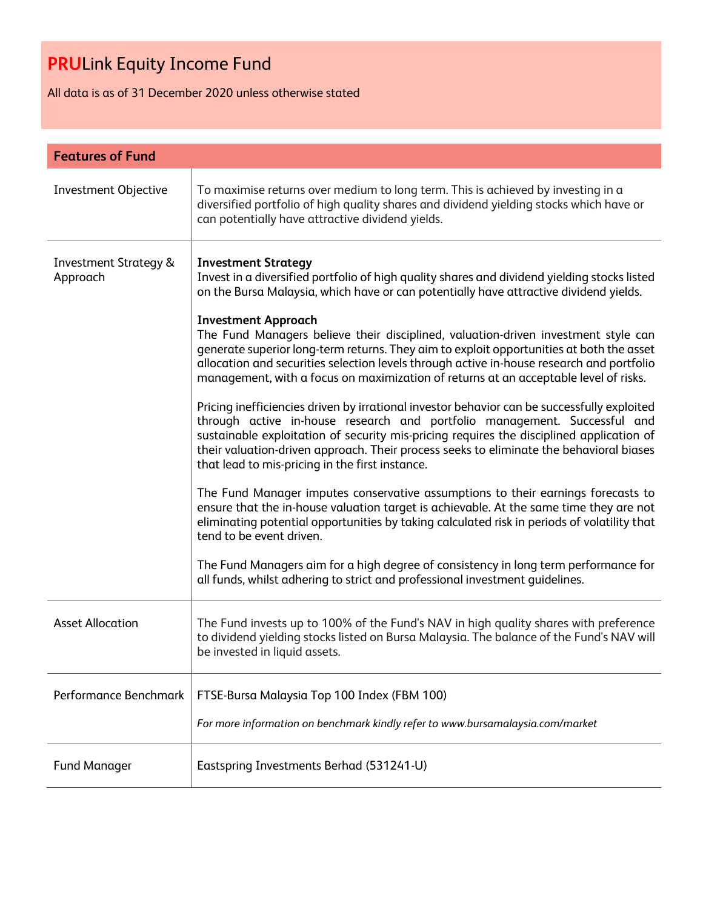All data is as of 31 December 2020 unless otherwise stated

| <b>Features of Fund</b>                      |                                                                                                                                                                                                                                                                                                                                                                                                                                                                                                                                                                                                                                                                                                                                                                                                                                                                                                                                                                                                                                                                                                                                                                                                                                                                                                                                                                                                                                                |  |
|----------------------------------------------|------------------------------------------------------------------------------------------------------------------------------------------------------------------------------------------------------------------------------------------------------------------------------------------------------------------------------------------------------------------------------------------------------------------------------------------------------------------------------------------------------------------------------------------------------------------------------------------------------------------------------------------------------------------------------------------------------------------------------------------------------------------------------------------------------------------------------------------------------------------------------------------------------------------------------------------------------------------------------------------------------------------------------------------------------------------------------------------------------------------------------------------------------------------------------------------------------------------------------------------------------------------------------------------------------------------------------------------------------------------------------------------------------------------------------------------------|--|
| <b>Investment Objective</b>                  | To maximise returns over medium to long term. This is achieved by investing in a<br>diversified portfolio of high quality shares and dividend yielding stocks which have or<br>can potentially have attractive dividend yields.                                                                                                                                                                                                                                                                                                                                                                                                                                                                                                                                                                                                                                                                                                                                                                                                                                                                                                                                                                                                                                                                                                                                                                                                                |  |
| <b>Investment Strategy &amp;</b><br>Approach | <b>Investment Strategy</b><br>Invest in a diversified portfolio of high quality shares and dividend yielding stocks listed<br>on the Bursa Malaysia, which have or can potentially have attractive dividend yields.<br><b>Investment Approach</b><br>The Fund Managers believe their disciplined, valuation-driven investment style can<br>generate superior long-term returns. They aim to exploit opportunities at both the asset<br>allocation and securities selection levels through active in-house research and portfolio<br>management, with a focus on maximization of returns at an acceptable level of risks.<br>Pricing inefficiencies driven by irrational investor behavior can be successfully exploited<br>through active in-house research and portfolio management. Successful and<br>sustainable exploitation of security mis-pricing requires the disciplined application of<br>their valuation-driven approach. Their process seeks to eliminate the behavioral biases<br>that lead to mis-pricing in the first instance.<br>The Fund Manager imputes conservative assumptions to their earnings forecasts to<br>ensure that the in-house valuation target is achievable. At the same time they are not<br>eliminating potential opportunities by taking calculated risk in periods of volatility that<br>tend to be event driven.<br>The Fund Managers aim for a high degree of consistency in long term performance for |  |
|                                              | all funds, whilst adhering to strict and professional investment guidelines.                                                                                                                                                                                                                                                                                                                                                                                                                                                                                                                                                                                                                                                                                                                                                                                                                                                                                                                                                                                                                                                                                                                                                                                                                                                                                                                                                                   |  |
| <b>Asset Allocation</b>                      | The Fund invests up to 100% of the Fund's NAV in high quality shares with preference<br>to dividend yielding stocks listed on Bursa Malaysia. The balance of the Fund's NAV will<br>be invested in liquid assets.                                                                                                                                                                                                                                                                                                                                                                                                                                                                                                                                                                                                                                                                                                                                                                                                                                                                                                                                                                                                                                                                                                                                                                                                                              |  |
| Performance Benchmark                        | FTSE-Bursa Malaysia Top 100 Index (FBM 100)<br>For more information on benchmark kindly refer to www.bursamalaysia.com/market                                                                                                                                                                                                                                                                                                                                                                                                                                                                                                                                                                                                                                                                                                                                                                                                                                                                                                                                                                                                                                                                                                                                                                                                                                                                                                                  |  |
| <b>Fund Manager</b>                          | Eastspring Investments Berhad (531241-U)                                                                                                                                                                                                                                                                                                                                                                                                                                                                                                                                                                                                                                                                                                                                                                                                                                                                                                                                                                                                                                                                                                                                                                                                                                                                                                                                                                                                       |  |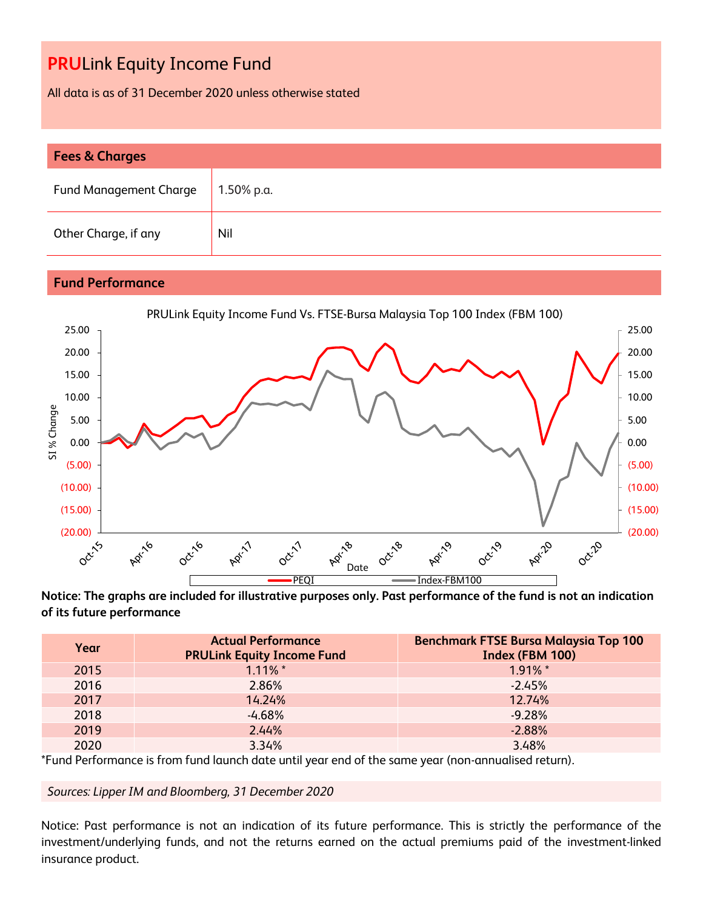All data is as of 31 December 2020 unless otherwise stated

| <b>Fees &amp; Charges</b>     |            |  |
|-------------------------------|------------|--|
| <b>Fund Management Charge</b> | 1.50% p.a. |  |
| Other Charge, if any          | Nil        |  |

## **Fund Performance**



**Notice: The graphs are included for illustrative purposes only. Past performance of the fund is not an indication of its future performance**

| Year | <b>Actual Performance</b><br><b>PRULink Equity Income Fund</b> | <b>Benchmark FTSE Bursa Malaysia Top 100</b><br>Index (FBM 100) |
|------|----------------------------------------------------------------|-----------------------------------------------------------------|
| 2015 | $1.11\%$ *                                                     | $1.91\%$ *                                                      |
| 2016 | 2.86%                                                          | $-2.45%$                                                        |
| 2017 | 14.24%                                                         | 12.74%                                                          |
| 2018 | $-4.68\%$                                                      | $-9.28%$                                                        |
| 2019 | 2.44%                                                          | $-2.88%$                                                        |
| 2020 | 3.34%                                                          | 3.48%                                                           |

\*Fund Performance is from fund launch date until year end of the same year (non-annualised return).

### *Sources: Lipper IM and Bloomberg, 31 December 2020*

Notice: Past performance is not an indication of its future performance. This is strictly the performance of the investment/underlying funds, and not the returns earned on the actual premiums paid of the investment-linked insurance product.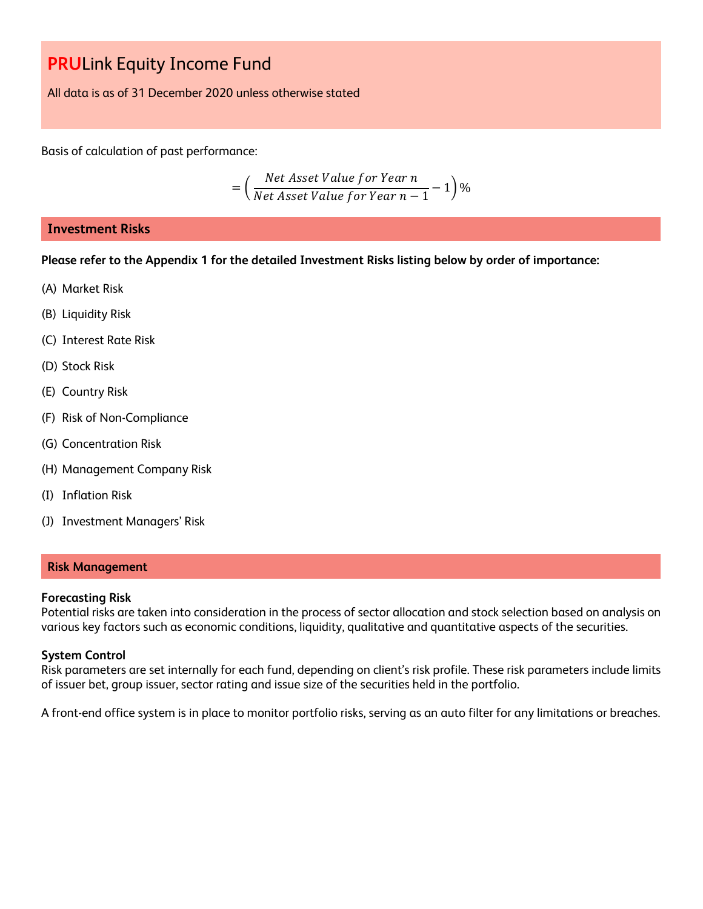All data is as of 31 December 2020 unless otherwise stated

Basis of calculation of past performance:

$$
= \left(\frac{Net\ Asset\ Value\ for\ Year\ n}{Net\ Asset\ Value\ for\ Year\ n-1} - 1\right)\%
$$

## **Investment Risks**

**Please refer to the Appendix 1 for the detailed Investment Risks listing below by order of importance:**

- (A) Market Risk
- (B) Liquidity Risk
- (C) Interest Rate Risk
- (D) Stock Risk
- (E) Country Risk
- (F) Risk of Non-Compliance
- (G) Concentration Risk
- (H) Management Company Risk
- (I) Inflation Risk
- (J) Investment Managers' Risk

### **Risk Management**

#### **Forecasting Risk**

Potential risks are taken into consideration in the process of sector allocation and stock selection based on analysis on various key factors such as economic conditions, liquidity, qualitative and quantitative aspects of the securities.

#### **System Control**

Risk parameters are set internally for each fund, depending on client's risk profile. These risk parameters include limits of issuer bet, group issuer, sector rating and issue size of the securities held in the portfolio.

A front-end office system is in place to monitor portfolio risks, serving as an auto filter for any limitations or breaches.